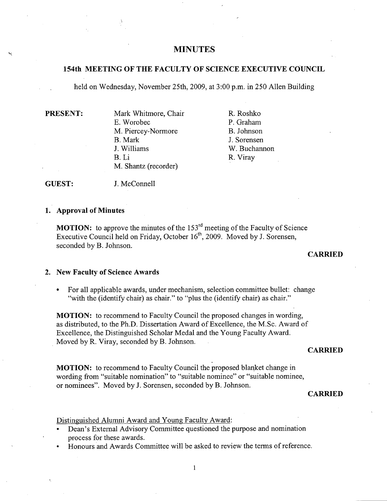# **MINUTES**

### **154th MEETING OF THE FACULTY OF SCIENCE EXECUTIVE COUNCIL**

held on Wednesday, November *25th,* 2009, at 3:00 p.m. in *250* Allen Building

PRESENT: Mark Whitmore, Chair E. Worobec M. Piercey-Normore B. Mark J. Williams B.Li M. Shantz (recorder)

R. Roshko P. Graham B. Johnson J. Sorensen W. Buchannon R. Viray

GUEST: J. McConnell

#### **Approval of Minutes**

**MOTION:** to approve the minutes of the  $153<sup>rd</sup>$  meeting of the Faculty of Science Executive Council held on Friday, October  $16<sup>th</sup>$ , 2009. Moved by J. Sorensen, seconded by B. Johnson.

### **CARRIED**

#### **New Faculty of Science Awards**

For all applicable awards, under mechanism, selection committee bullet: change "with the (identify chair) as chair." to "plus the (identify chair) as chair."

MOTION: to recommend to Faculty Council the proposed changes in wording, as distributed, to the Ph.D. Dissertation Award of Excellence, the M.Sc. Award of Excellence, the Distinguished Scholar Medal and the Young Faculty Award. Moved by R. Viray, seconded by B. Johnson.

#### **CARRIED**

**MOTION:** to recommend to Faculty Council the proposed blanket change in wording from "suitable nomination" to "suitable nominee" or "suitable nominee, or nominees". Moved by J. Sorensen, seconded by B. Johnson.

#### **CARRIED**

Distinguished Alumni Award and Young Faculty Award:

- Dean's External Advisory Committee questioned the purpose and nomination process for these awards.
- Honours and Awards Committee will be asked to review the terms of reference.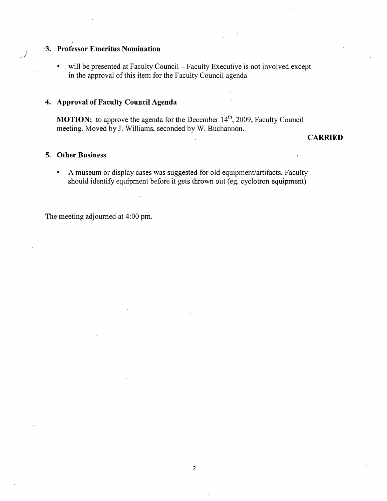# **'3. Professor Emeritus Nomination**

• will be presented at Faculty Council – Faculty Executive is not involved except in the approval of this item for the Faculty Council agenda

### **Approval of Faculty Council Agenda**

**MOTION:** to approve the agenda for the December 14<sup>th</sup>, 2009, Faculty Council meeting. Moved by J. Williams, seconded by W. Buchannon.

**CARRIED** 

## **Other Business**

/

A museum or display cases was suggested for old equipment/artifacts. Faculty should identify equipment before it gets thrown out (eg. cyclotron equipment)

The meeting adjourned at 4:00 pm.